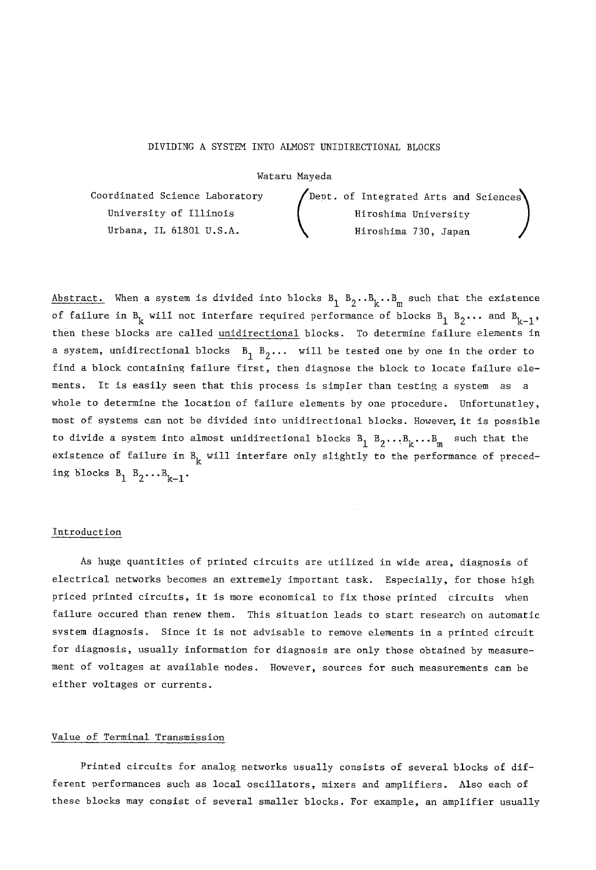### DIVIDING A SYSTEM INTO ALMOST UNIDIRECTIONAL BLOCKS

#### Wataru Mayeda

Coordinated Science Laboratory  $\qquad$  Dept. of Integrated Arts and Sciences  $\qquad$ University of Illinois Hiroshima University Urbana, IL 61801 U.S.A. Hiroshima 730, Japan

Abstract. When a system is divided into blocks  $B_1, B_2, B_k, B_m$  such that the existence of failure in  $B_k$  will not interfare required performance of blocks  $B_1$   $B_2$ ... and  $B_{k-1}$ , then these blocks are called unidirectional blocks. To determine failure elements in a system, unidirectional blocks  $B_1$   $B_2$ ... will be tested one by one in the order to find a block containing failure first, then diagnose the block to locate failure elements. It is easily seen that this process is simpler than testing a system as a whole to determine the location of failure elements by one procedure. Unfortunatley, most of systems can not be divided into unidirectional blocks. However, it is possible to divide a system into almost unidirectional blocks  $B_1, B_2, \ldots, B_k, \ldots, B_m$  such that the existence of failure in  $B_k$  will interfare only slightly to the performance of preceding blocks  $B_1$   $B_2 \ldots B_{k-1}$ .

#### Introduction

As huge quantities of printed circuits are utilized in wide area, diagnosis of electrical networks becomes an extremely important task. Especially, for those high priced printed circuits, it is more economical to fix those printed circuits when failure occured than renew them. This situation leads to start research on automatic system diagnosis. Since it is not advisable to remove elements in a printed circuit for diagnosis, usually information for diagnosis are only those obtained by measurement of voltages at available nodes. However, sources for such measurements can be either voltages or currents.

# Value of Terminal Transmission

Printed circuits for analog networks usually consists of several blocks of different performances such as local oscillators, mixers and amplifiers. Also each of these blocks may consist of several smaller blocks. For example, an amplifier usually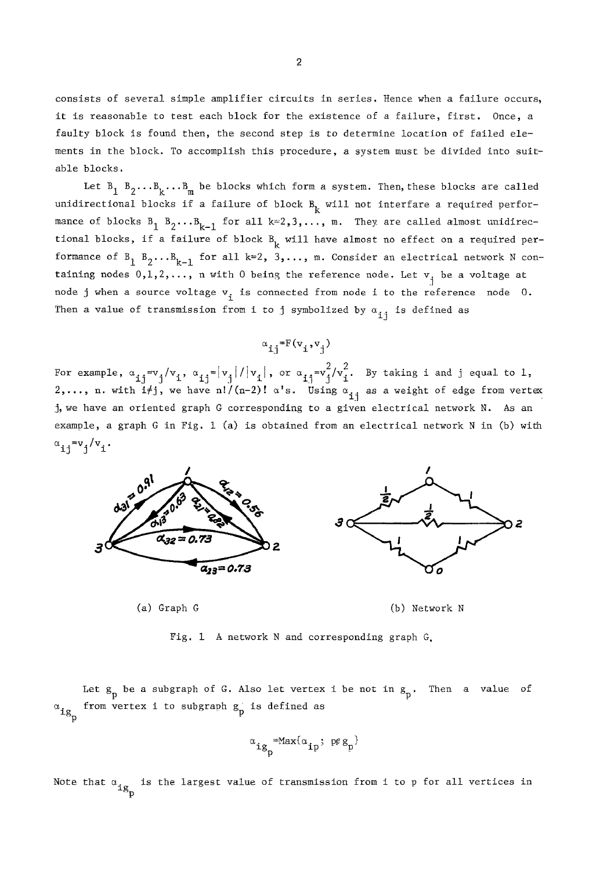consists of several simple amplifier circuits in series. Hence when a failure occurs, it is reasonable to test each block for the existence of a failure, first. Once, a faulty block is found then, the second step is to determine location of failed elements in the block. To accomplish this procedure, a system must be divided into suitable blocks.

Let  $B_1$   $B_2 \ldots B_k \ldots B_m$  be blocks which form a system. Then, these blocks are called unidirectional blocks if a failure of block  $B_k$  will not interfare a required performance of blocks  $B_1$   $B_2 \ldots B_{k-1}$  for all  $k=2,3,\ldots, m$ . They are called almost unidirectional blocks, if a failure of block  $B_k$  will have almost no effect on a required performance of  $B_1$   $B_2 \ldots B_{k-1}$  for all k=2, 3,..., m. Consider an electrical network N containing nodes  $0,1,2,...$ , n with 0 being the reference node. Let  $v_i$  be a voltage at node j when a source voltage  $\mathrm{v}_{\mathrm{i}}^{}$  is connected from node i to the reference  $\,$  node  $\,$  0.  $\,$ Then a value of transmission from i to j symbolized by  $\alpha_{j,i}$  is defined as

$$
\alpha_{i,j} = F(v_i, v_j)
$$

For example,  $\alpha_{1,1} = v_1/v_1$ ,  $\alpha_{1,1} = |v_1|/|v_1|$ , or  $\alpha_{1,1} = v_1^2/v_1^2$ . By taking i and j equal to 1, 2,..., n. with i<del>/</del>j, we have n!/(n-2)!  $\alpha$ 's. Using  $\alpha_{\hat{\mathbf{1}} \hat{\mathbf{j}}}$  as a weight of edge from vertex . j, we have an oriented graph G corresponding to a given electrical network N. As an example, a graph G in Fig. 1 (a) is obtained from an electrical network N in (b) with  $\alpha_{i,j} = v_j/v_i$ .





Fig. 1 A network N and corresponding graph G.

 $\mathrm{ig}_{\mathbb{L}}$  from vertex i to subgraph  $\mathrm{g}_{\mathbb{P}}^{\mathbb{L}}$  is defined as Let g\_ be a subgraph of G. Also let vertex i be not in g\_. Then a value of

$$
\alpha_{\mathtt{ig}_{\mathtt{D}}} = \mathtt{Max}\{\alpha_{\mathtt{ip}}; \ \mathtt{pe} \ \mathtt{g}_{\mathtt{p}}\}
$$

Note that  $\mathfrak{a}_{\mathfrak{l}\mathfrak{g}_{_{\mathbf{n}}}}$  is the largest value of transmission from i to p for all vertices in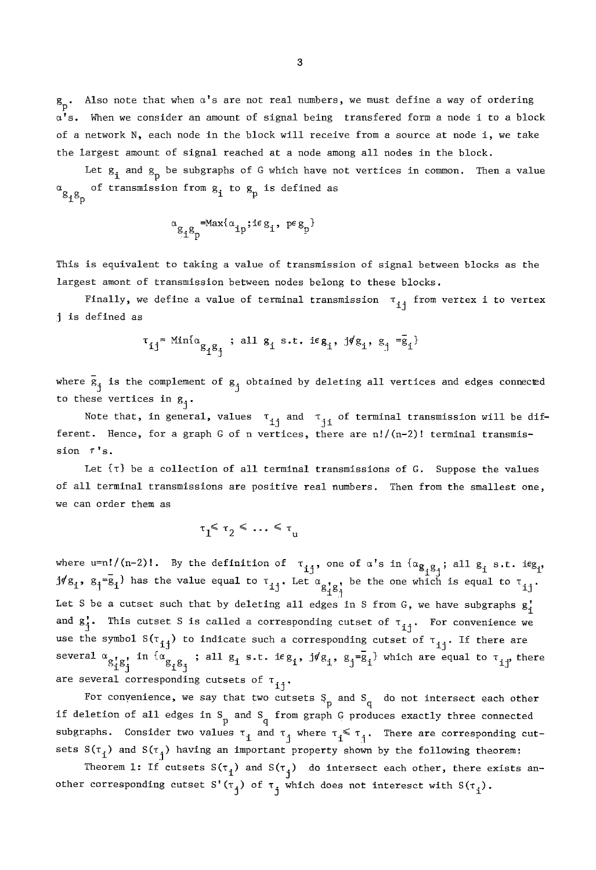$g_p$ . Also note that when  $\alpha'$ s are not real numbers, we must define a way of ordering  $\alpha'$ s. When we consider an amount of signal being transfered form a node i to a block of a network N, each node in the block will receive from a source at node i, we take the largest amount of signal reached at a node among all nodes in the block.

Let  $g_i$  and  $g_p$  be subgraphs of G which have not vertices in common. Then a value  $\alpha_{g_1 g_n}$  of transmission from  $g_i$  to  $g_p$  is defined as

$$
\alpha_{g_{\mathbf{i}}g_{p}}\hspace{-0.2cm}=\hspace{-0.2cm}\max\{\alpha_{\mathbf{i}p};\mathbf{i}\epsilon\,g_{\mathbf{i}},\ p\epsilon\,g_{p}\}
$$

This is equivalent to taking a value of transmission of signal between blocks as the largest amont of transmission between nodes belong to these blocks.

Finally, we define a value of terminal transmission  $\pi_{\mathbf{ij}}^+$  from vertex i to vertex j is defined as

$$
\tau_{ij} = \min\{\alpha_{g_i g_j}; \text{ all } g_i \text{ s.t. } i e g_i, j f g_i, g_j = \bar{g}_i\}
$$

where  $\bar{g}_j$  is the complement of  $g_j$  obtained by deleting all vertices and edges connected to these vertices in  $g_i$ .

Note that, in general, values  $\tau_{i,j}$  and  $\tau_{i,j}$  of terminal transmission will be different. Hence, for a graph G of n vertices, there are  $n!/(n-2)!$  terminal transmis $sion$   $7's.$ 

Let  $\{\tau\}$  be a collection of all terminal transmissions of G. Suppose the values of all terminal transmissions are positive real numbers. Then from the smallest one, we can order them as

$$
\tau_1 \leq \tau_2 \leq \ldots \leq \tau_u
$$

where u=n!/(n-2)!. By the definition of  $\tau_{i,j}$ , one of  $\alpha'$ s in  $\{\alpha_{\alpha,\alpha}$  ; all g, s.t. i $eg_i$ ,  $J4g_i$ ,  $g_i=g_i$  has the value equal to  $\tau_{i,i}$ . Let  $\alpha_{i,i}$ , be the one which is equal to  $\tau_{i,i}$ .  $\mathfrak{g}_{\text{ij}}$ Let S be a cutset such that by deleting all edges in S from G, we have subgraphs  $g_i$ and  $g'_{j}$ . This cutset S is called a corresponding cutset of  $\tau_{j,i}$ . For convenience we use the symbol  $S(\tau_{ij})$  to indicate such a corresponding cutset of  $\tau_{ij}$ . If there are several  $a_{s_1'g_1'}$  in  $a_{s_1'g_1'}$  ; all  $g_i$  s.t. if  $g_i$ ,  $j\#g_i$ ,  $g_j = g_i'$  which are equal to  $\tau_{ij'}$  there are several corresponding cutsets of  $\bm{\tau_{ij}}.$ 

For convenience, we say that two cutsets  $S_p$  and  $S_q$  do not intersect each other if deletion of all edges in S and S from graph G produces exactly three connected P q subgraphs. Consider two values  $\tau_i$  and  $\tau_j$  where  $\tau_i \leq \tau_j$ . There are corresponding cutsets  $S(\tau_i)$  and  $S(\tau_i)$  having an important property shown by the following theorem:

Theorem 1: If cutsets  $S(\tau_i)$  and  $S(\tau_i)$  do intersect each other, there exists another corresponding cutset  $S'(\tau_j)$  of  $\tau_j$  which does not interesct with  $S(\tau_j)$ .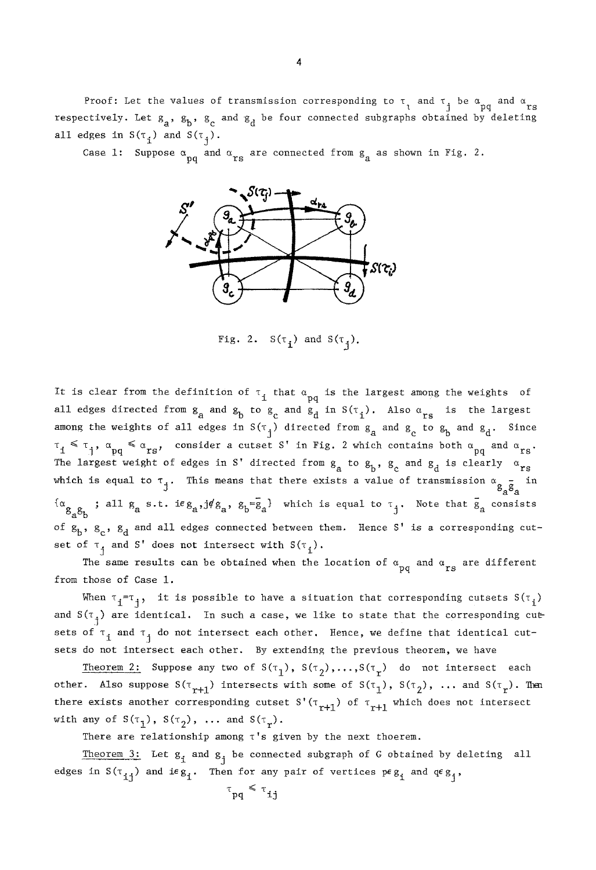Proof: Let the values of transmission corresponding to  $\tau_1$  and  $\tau_1$  be  $\alpha_{\text{pq}}$  and  $\alpha_{\text{rs}}$ respectively. Let  $s_a$ ,  $s_b$ ,  $s_c$  and  $s_d$  be four connected subgraphs obtained by deleting all edges in  $S(\tau_1)$  and  $S(\tau_2)$ .

Case 1: Suppose  $\alpha_{pq}$  and  $\alpha_{rs}$  are connected from  $g_q$  as shown in Fig. 2.



Fig. 2.  $S(\tau_i)$  and  $S(\tau_i)$ .

It is clear from the definition of  $\tau_i$  that  $\alpha_{pq}$  is the largest among the weights of all edges directed from  $g_a$  and  $g_b$  to  $g_c$  and  $g_d$  in  $S(\tau_i)$ . Also  $\alpha_{rs}$  is the largest among the weights of all edges in  $S(\tau_j)$  directed from  $g_a$  and  $g_c$  to  $g_b$  and  $g_d$ . Since  $~\tau_1~\leq~\tau_1^{},~\alpha_{pq}~\leq~\alpha_{rs}^{},$  consider a cutset S' in Fig. 2 which contains both  $\alpha_{pq}^{}$  and  $\alpha_{rs}^{}$ . The largest weight of edges in S' directed from  $g_a$  to  $g_b$ ,  $g_c$  and  $g_d$  is clearly  $\alpha_{rs}$ which is equal to  $\tau_j$ . This means that there exists a value of transmission  $\alpha_{a}^{2}g_{a}$  in  ${^{a}g}g_{ab}$ ; all  $g_{a}$  s.t. i $e_{a}$ ,  $j\neq g_{a}$ ,  $g_{b}=\overline{g}_{a}$  which is equal to  $\tau_{j}$ . Note that  $\overline{g}_{a}$  consists of  $g_b$ ,  $g_c$ ,  $g_d$  and all edges connected between them. Hence S' is a corresponding cutset of  $\tau_{\frac{1}{4}}$  and S' does not intersect with  $S(\tau_{\frac{1}{4}})$ .

The same results can be obtained when the location of  $\alpha_{\rm pq}$  and  $\alpha_{\rm rs}$  are different from those of Case 1.

When  $\tau_i=\tau_i$ , it is possible to have a situation that corresponding cutsets  $S(\tau_i)$ and  $S(\tau_+)$  are identical. In such a case, we like to state that the corresponding cutsets of  $\tau_i$  and  $\tau_i$  do not intersect each other. Hence, we define that identical cutsets do not intersect each other. By extending the previous theorem, we have

Theorem 2: Suppose any two of  $S(\tau_1)$ ,  $S(\tau_2)$ ,..., $S(\tau_r)$  do not intersect each other. Also suppose  $S(\tau_{r+1})$  intersects with some of  $S(\tau_1)$ ,  $S(\tau_2)$ , ... and  $S(\tau_r)$ . Then there exists another corresponding cutset S'( $\tau$ <sub>r+1</sub>) of  $\tau$ <sub>r+1</sub> which does not intersect with any of  $S(\tau_1)$ ,  $S(\tau_2)$ , ... and  $S(\tau_r)$ .

There are relationship among  $\tau$ 's given by the next thoerem.

Theorem 3: Let  $g_i$  and  $g_j$  be connected subgraph of G obtained by deleting all edges in  $S(\tau_{i,j})$  and ieg<sub>i</sub>. Then for any pair of vertices  $p \epsilon_{S_i}$  and  $q \epsilon_{S_j}$ ,

$$
\tau_{pq} \leq \tau_{ij}
$$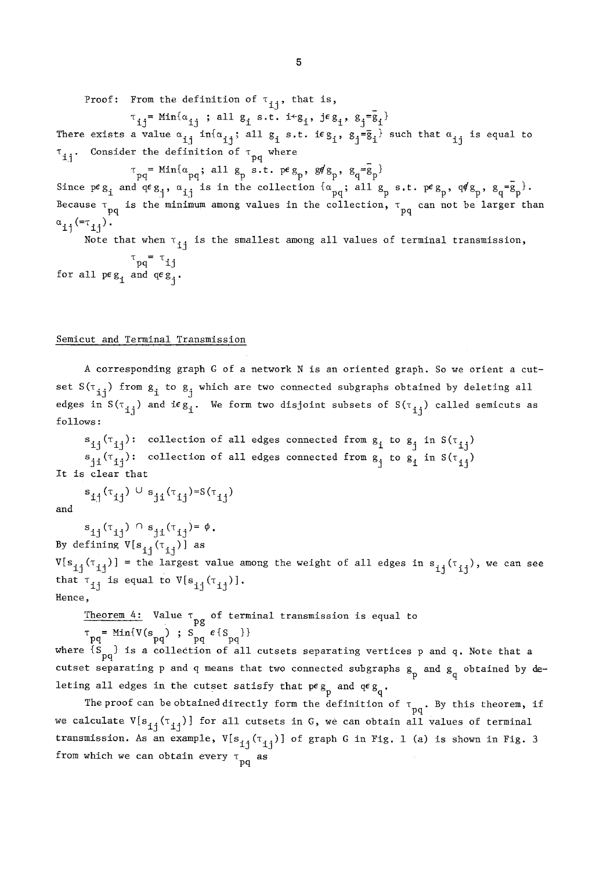Proof: From the definition of  $\tau_{11}$ , that is,

 $\tau_{14}$  = Min{ $\alpha_{14}$ ; all g<sub>i</sub> s.t. i g<sub>1</sub>, jeg<sub>4</sub>, g<sub>4</sub> =  $\bar{g}_1$ }

There exists a value  $\alpha_{i,j}$  in{ $\alpha_{i,j}$ ; all  $g_i$  s.t. ieg<sub>1</sub>,  $g_j = \overline{g}_i$  such that  $\alpha_{ij}$  is equal to  $\tau_{11}$ . Consider the definition of  $\tau_{pq}$  where

 $\tau_{pq}$ = Min{ $\alpha_{pq}$ ; all  $g_p$  s.t. peg<sub>p</sub>, g $/g_p$ ,  $g_q = g_p$ } Since  $peg_i$  and  $qeg_i$ ,  $\alpha_{1i}$  is in the collection  $\{\alpha_{pq};$  all  $g_p$  s.t.  $peg_p$ ,  $q/g_p$ ,  $g_q=\overline{g}_p$ . Because  $\tau_{\text{pq}}$  is the minimum among values in the collection,  $\tau_{\text{pq}}$  can not be larger than  $\alpha_{11} (=r_{11})$ .

Note that when  $\tau_{\text{1i}}$  is the smallest among all values of terminal transmission,  $\tau_{\rm pq}$  =  $\tau_{\rm jj}$ for all  $pe_g$  and  $qe_g$ .

#### Semicut and Terminal Transmission

A corresponding graph G of a network N is an oriented graph. So we orient a cutset  $S(\tau_{ij})$  from  $g_i$  to  $g_j$  which are two connected subgraphs obtained by deleting all edges in  $S(\tau_{ij})$  and if  $g_i$ . We form two disjoint subsets of  $S(\tau_{ij})$  called semicuts as follows:

 $s_{i,i}(\tau_{i,i})$ : collection of all edges connected from  $g_i$  to  $g_i$  in  $S(\tau_{i,i})$  $s_{i,j}(\tau_{i,j})$ : collection of all edges connected from  $g_i$  to  $g_j$  in  $S(\tau_{i,j})$ It is clear that

 $s_{ij}(\tau_{ij}) \cup s_{ji}(\tau_{ij}) = S(\tau_{ij})$ 

and

 $s_{ij}(\tau_{ij}) \cap s_{ji}(\tau_{ij}) = \phi$ . By defining  $V[s_{ij}(\tau_{ij})]$  as  $V[s_{i,j}(\tau_{i,j})]$  = the largest value among the weight of all edges in  $s_{i,j}(\tau_{i,j})$ , we can see that  $\tau_{i,j}$  is equal to  $V[s_{i,j}(\tau_{i,j})]$ . Hence,

Theorem 4: Value  $\tau$  of terminal transmission is equal to

 $\tau_{pq}$  = Min{V(s<sub>pq</sub>) ; S<sub>pq</sub>  $\epsilon$ {S<sub>pq</sub>}} where  $\{S \atop pq}$  is a collection of all cutsets separating vertices p and q. Note that a  $q$ cutset separating p and q means that two connected subgraphs  $g_p$  and  $g_q$  obtained by deleting all edges in the cutset satisfy that  $pe_{B_p}$  and  $qe_{B_q}$ .

The proof can be obtained directly form the definition of  $\tau_{pq}$ . By this theorem, if we calculate  $V[s_{ij}(\tau_{ij})]$  for all cutsets in G, we can obtain all values of terminal transmission. As an example,  $V[s_{i,j}(\tau_{1j})]$  of graph G in Fig. 1 (a) is shown in Fig. 3 from which we can obtain every  $\tau_{\mathbf{p}\mathbf{q}}^{\mathbf{p}}$  as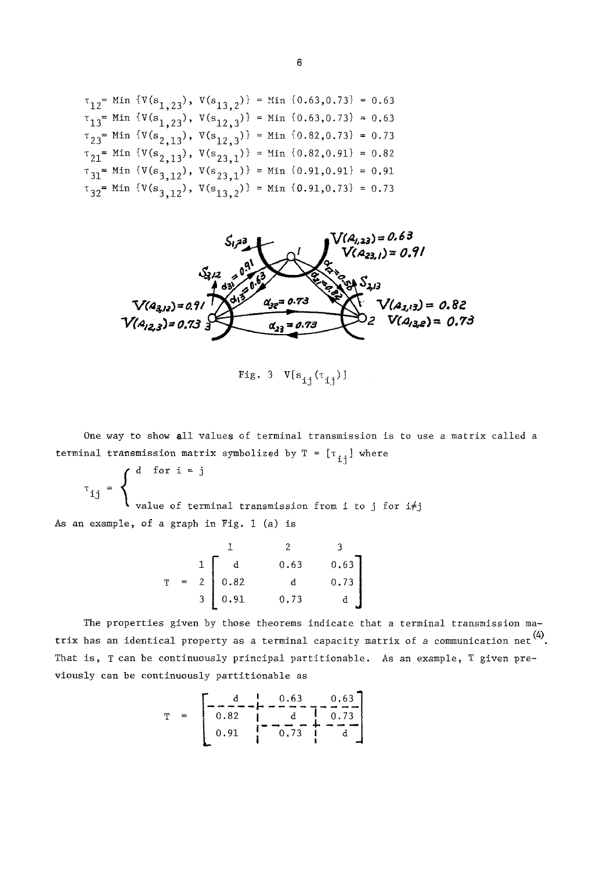$$
\tau_{12} = \text{Min } \{V(s_{1,23}), V(s_{13,2})\} = \text{Min } \{0.63, 0.73\} = 0.63
$$
\n
$$
\tau_{13} = \text{Min } \{V(s_{1,23}), V(s_{12,3})\} = \text{Min } \{0.63, 0.73\} = 0.63
$$
\n
$$
\tau_{23} = \text{Min } \{V(s_{2,13}), V(s_{12,3})\} = \text{Min } \{0.82, 0.73\} = 0.73
$$
\n
$$
\tau_{21} = \text{Min } \{V(s_{2,13}), V(s_{23,1})\} = \text{Min } \{0.82, 0.91\} = 0.82
$$
\n
$$
\tau_{31} = \text{Min } \{V(s_{3,12}), V(s_{23,1})\} = \text{Min } \{0.91, 0.91\} = 0.91
$$
\n
$$
\tau_{32} = \text{Min } \{V(s_{3,12}), V(s_{13,2})\} = \text{Min } \{0.91, 0.73\} = 0.73
$$



Fig. 3  $V[s_{i_1}(\tau_{i_1})]$ 

One way to show all values of terminal transmission is to use a matrix called a terminal transmission matrix symbolized by  $T = [T_{ij}]$  where

 $\int$  d for  $\tau = 1$  $\mathbf{f}$ value of terminal transmission from i *to* j for i#j

As an example, of a graph in Fig. 1 (a) is

$$
T = \begin{bmatrix} 1 & 2 & 3 \\ 1 & 0.63 & 0.63 \\ 2 & 0.82 & 1 & 0.73 \\ 3 & 0.91 & 0.73 & 1 \end{bmatrix}
$$

The properties given by those theorems indicate that a terminal transmission matrix has an identical property as a terminal capacity matrix of a communication net  $\overset{(4)}{\ldots}$ . That is, T can be continuously principal partitionable. As an example, T given previously can be continuously partitionable as

$$
T = \begin{bmatrix} -\frac{d}{0.82} & \frac{1}{1} & -\frac{0.63}{d} & -\frac{0.63}{0.73} \\ 0.91 & \frac{1}{1} & -\frac{d}{0.73} & \frac{1}{1} & -\frac{1}{d} \end{bmatrix}
$$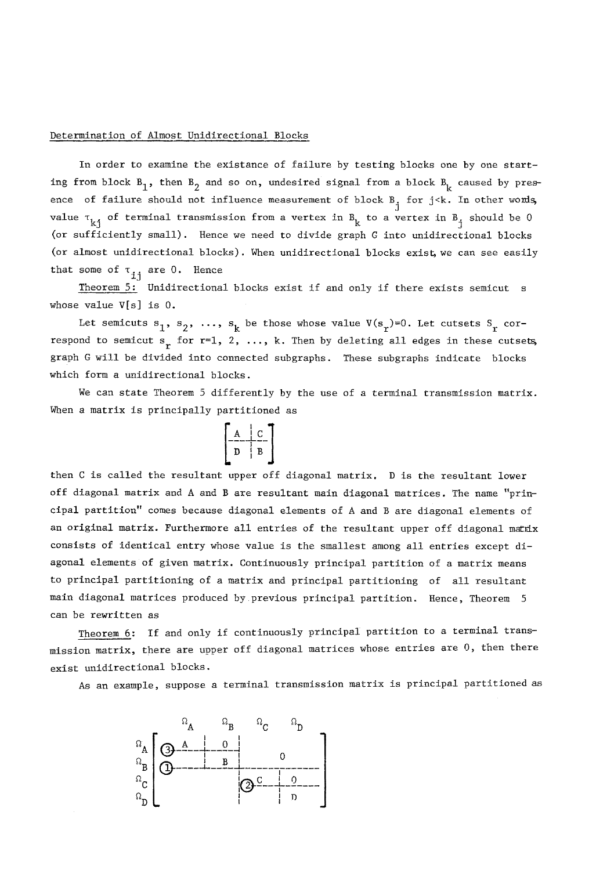# Determination of Almost Unidirectional Blocks

In order to examine the existance of failure by testing blocks one by one starting from block  $B_1$ , then  $B_2$  and so on, undesired signal from a block  $B_k$  caused by presence of failure should not influence measurement of block  $B_j$  for j<k. In other words, value  $\tau_{\bf kj}$  of terminal transmission from a vertex in  $B_{\bf k}$  to a vertex in  $B$ , should be  $0$ (or sufficiently small). Hence we need to divide graph G into unidirectional blocks (or almost unidirectional blocks). When unidirectional blocks exist we can see easily that some of  $\tau_{ij}$  are 0. Hence

Theorem 5: Unidirectional blocks exist if and only if there exists semicut s whose value V[s] is 0.

Let semicuts  $s_1$ ,  $s_2$ , ...,  $s_k$  be those whose value  $V(s_r)=0$ . Let cutsets  $S_r$  correspond to semicut  $s_r$  for  $r=1, 2, ..., k$ . Then by deleting all edges in these cutsets, graph G will be divided into connected subgraphs. These subgraphs indicate blocks which form a unidirectional blocks.

We can state Theorem 5 differently by the use of a terminal transmission matrix. When a matrix is principally partitioned as



then C is called the resultant upper off diagonal matrix. D is the resultant lower off diagonal matrix and A and B are resultant main diagonal matrices. The name "principal partition" comes because diagonal elements of A and B are diagonal elements of an original matrix. Furthermore all entries of the resultant upper off diagonal matrix consists of identical entry whose value is the smallest among all entries except diagonal elements of given matrix. Continuously principal partition of a matrix means to principal partitioning of a matrix and principal partitioning of all resultant main diagonal matrices produced by previous principal partition. Hence, Theorem 5 can be rewritten as

Theorem 6: If and only if continuously principal partition to a terminal transmission matrix, there are upper off diagonal matrices whose entries are 0, then there exist unidirectional blocks.

As an example, suppose a terminal transmission matrix is principal partitioned as